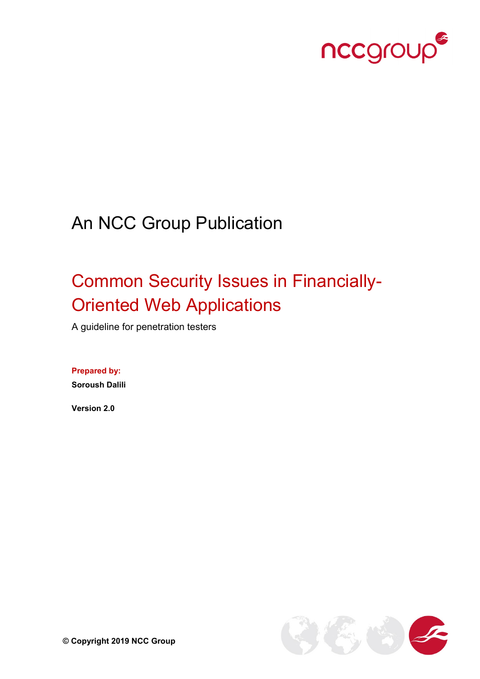

# An NCC Group Publication

# Common Security Issues in Financially-Oriented Web Applications

A guideline for penetration testers

# **Prepared by:**

**Soroush Dalili**

**Version 2.0**

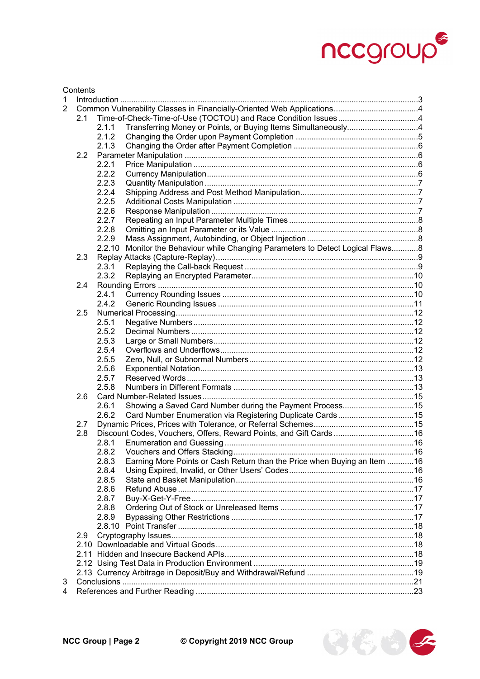# nccgroup®

|                | Contents   |                                                                        |                                                                          |  |  |  |  |  |  |
|----------------|------------|------------------------------------------------------------------------|--------------------------------------------------------------------------|--|--|--|--|--|--|
| 1              |            |                                                                        |                                                                          |  |  |  |  |  |  |
| $\overline{2}$ |            |                                                                        |                                                                          |  |  |  |  |  |  |
|                | 2.1        |                                                                        |                                                                          |  |  |  |  |  |  |
|                |            | Transferring Money or Points, or Buying Items Simultaneously4<br>2.1.1 |                                                                          |  |  |  |  |  |  |
|                |            | 2.1.2                                                                  |                                                                          |  |  |  |  |  |  |
|                |            | 2.1.3                                                                  |                                                                          |  |  |  |  |  |  |
|                | 2.2        |                                                                        |                                                                          |  |  |  |  |  |  |
|                |            | 2.2.1                                                                  |                                                                          |  |  |  |  |  |  |
|                |            | 2.2.2                                                                  |                                                                          |  |  |  |  |  |  |
|                |            | 2.2.3                                                                  |                                                                          |  |  |  |  |  |  |
|                |            | 2.2.4                                                                  |                                                                          |  |  |  |  |  |  |
|                |            | 2.2.5                                                                  |                                                                          |  |  |  |  |  |  |
|                |            | 2.2.6                                                                  |                                                                          |  |  |  |  |  |  |
|                |            | 2.2.7                                                                  |                                                                          |  |  |  |  |  |  |
|                |            | 2.2.8                                                                  |                                                                          |  |  |  |  |  |  |
|                |            | 2.2.9                                                                  |                                                                          |  |  |  |  |  |  |
|                |            | 2.2.10                                                                 | Monitor the Behaviour while Changing Parameters to Detect Logical Flaws8 |  |  |  |  |  |  |
|                | 2.3        |                                                                        |                                                                          |  |  |  |  |  |  |
|                |            | 2.3.1                                                                  |                                                                          |  |  |  |  |  |  |
|                |            | 2.3.2                                                                  |                                                                          |  |  |  |  |  |  |
|                | 2.4        |                                                                        |                                                                          |  |  |  |  |  |  |
|                |            | 2.4.1                                                                  |                                                                          |  |  |  |  |  |  |
|                |            | 2.4.2                                                                  |                                                                          |  |  |  |  |  |  |
|                | 2.5        |                                                                        |                                                                          |  |  |  |  |  |  |
|                |            | 2.5.1                                                                  |                                                                          |  |  |  |  |  |  |
|                |            | 2.5.2                                                                  |                                                                          |  |  |  |  |  |  |
|                |            | 2.5.3                                                                  |                                                                          |  |  |  |  |  |  |
|                |            | 2.5.4                                                                  |                                                                          |  |  |  |  |  |  |
|                |            | 2.5.5                                                                  |                                                                          |  |  |  |  |  |  |
|                |            | 2.5.6                                                                  |                                                                          |  |  |  |  |  |  |
|                |            | 2.5.7                                                                  |                                                                          |  |  |  |  |  |  |
|                |            | 2.5.8                                                                  |                                                                          |  |  |  |  |  |  |
|                | 2.6        |                                                                        |                                                                          |  |  |  |  |  |  |
|                |            | 2.6.1                                                                  | Showing a Saved Card Number during the Payment Process15                 |  |  |  |  |  |  |
|                |            | 2.6.2                                                                  |                                                                          |  |  |  |  |  |  |
|                |            |                                                                        | Card Number Enumeration via Registering Duplicate Cards15                |  |  |  |  |  |  |
|                | 2.7<br>2.8 |                                                                        |                                                                          |  |  |  |  |  |  |
|                |            | 2.8.1                                                                  | Discount Codes, Vouchers, Offers, Reward Points, and Gift Cards 16       |  |  |  |  |  |  |
|                |            |                                                                        |                                                                          |  |  |  |  |  |  |
|                |            | 2.8.2                                                                  |                                                                          |  |  |  |  |  |  |
|                |            | 2.8.3                                                                  | Earning More Points or Cash Return than the Price when Buying an Item 16 |  |  |  |  |  |  |
|                |            | 2.8.4                                                                  |                                                                          |  |  |  |  |  |  |
|                |            | 2.8.5                                                                  |                                                                          |  |  |  |  |  |  |
|                |            | 2.8.6                                                                  |                                                                          |  |  |  |  |  |  |
|                |            | 2.8.7                                                                  |                                                                          |  |  |  |  |  |  |
|                |            | 2.8.8                                                                  |                                                                          |  |  |  |  |  |  |
|                |            | 2.8.9                                                                  |                                                                          |  |  |  |  |  |  |
|                |            |                                                                        |                                                                          |  |  |  |  |  |  |
|                | 2.9        |                                                                        |                                                                          |  |  |  |  |  |  |
|                |            |                                                                        |                                                                          |  |  |  |  |  |  |
|                |            |                                                                        |                                                                          |  |  |  |  |  |  |
|                |            |                                                                        |                                                                          |  |  |  |  |  |  |
|                |            |                                                                        |                                                                          |  |  |  |  |  |  |
| 3              |            |                                                                        |                                                                          |  |  |  |  |  |  |
| 4              |            |                                                                        |                                                                          |  |  |  |  |  |  |

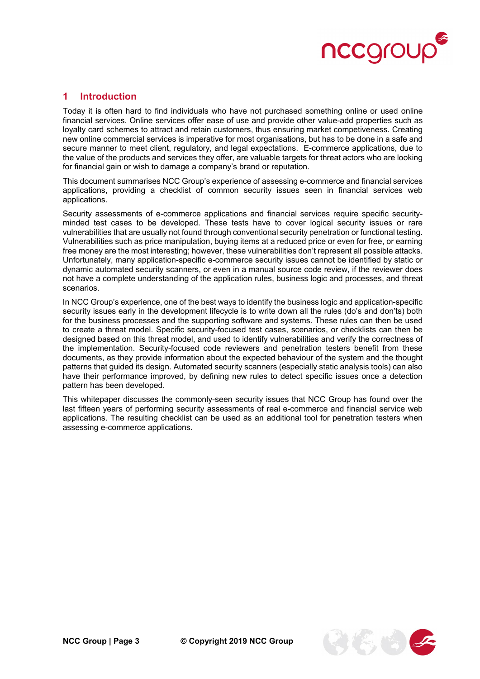

# <span id="page-2-0"></span>**1 Introduction**

Today it is often hard to find individuals who have not purchased something online or used online financial services. Online services offer ease of use and provide other value-add properties such as loyalty card schemes to attract and retain customers, thus ensuring market competiveness. Creating new online commercial services is imperative for most organisations, but has to be done in a safe and secure manner to meet client, regulatory, and legal expectations. E-commerce applications, due to the value of the products and services they offer, are valuable targets for threat actors who are looking for financial gain or wish to damage a company's brand or reputation.

This document summarises NCC Group's experience of assessing e-commerce and financial services applications, providing a checklist of common security issues seen in financial services web applications.

Security assessments of e-commerce applications and financial services require specific securityminded test cases to be developed. These tests have to cover logical security issues or rare vulnerabilities that are usually not found through conventional security penetration or functional testing. Vulnerabilities such as price manipulation, buying items at a reduced price or even for free, or earning free money are the most interesting; however, these vulnerabilities don't represent all possible attacks. Unfortunately, many application-specific e-commerce security issues cannot be identified by static or dynamic automated security scanners, or even in a manual source code review, if the reviewer does not have a complete understanding of the application rules, business logic and processes, and threat scenarios.

In NCC Group's experience, one of the best ways to identify the business logic and application-specific security issues early in the development lifecycle is to write down all the rules (do's and don'ts) both for the business processes and the supporting software and systems. These rules can then be used to create a threat model. Specific security-focused test cases, scenarios, or checklists can then be designed based on this threat model, and used to identify vulnerabilities and verify the correctness of the implementation. Security-focused code reviewers and penetration testers benefit from these documents, as they provide information about the expected behaviour of the system and the thought patterns that guided its design. Automated security scanners (especially static analysis tools) can also have their performance improved, by defining new rules to detect specific issues once a detection pattern has been developed.

This whitepaper discusses the commonly-seen security issues that NCC Group has found over the last fifteen years of performing security assessments of real e-commerce and financial service web applications. The resulting checklist can be used as an additional tool for penetration testers when assessing e-commerce applications.

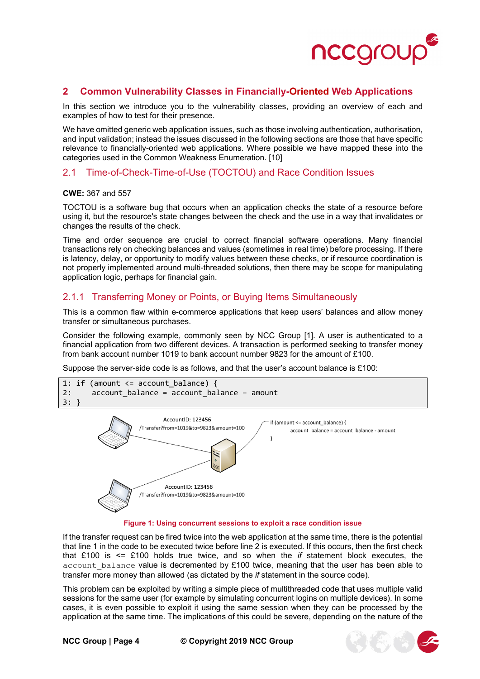

# <span id="page-3-0"></span>**2 Common Vulnerability Classes in Financially-Oriented Web Applications**

In this section we introduce you to the vulnerability classes, providing an overview of each and examples of how to test for their presence.

We have omitted generic web application issues, such as those involving authentication, authorisation, and input validation; instead the issues discussed in the following sections are those that have specific relevance to financially-oriented web applications. Where possible we have mapped these into the categories used in the Common Weakness Enumeration. [10]

# <span id="page-3-1"></span>2.1 Time-of-Check-Time-of-Use (TOCTOU) and Race Condition Issues

**CWE:** 367 and 557

TOCTOU is a software bug that occurs when an application checks the state of a resource before using it, but the resource's state changes between the check and the use in a way that invalidates or changes the results of the check.

Time and order sequence are crucial to correct financial software operations. Many financial transactions rely on checking balances and values (sometimes in real time) before processing. If there is latency, delay, or opportunity to modify values between these checks, or if resource coordination is not properly implemented around multi-threaded solutions, then there may be scope for manipulating application logic, perhaps for financial gain.

# <span id="page-3-2"></span>2.1.1 Transferring Money or Points, or Buying Items Simultaneously

This is a common flaw within e-commerce applications that keep users' balances and allow money transfer or simultaneous purchases.

Consider the following example, commonly seen by NCC Group [\[1\]](#page-22-1). A user is authenticated to a financial application from two different devices. A transaction is performed seeking to transfer money from bank account number 1019 to bank account number 9823 for the amount of £100.

Suppose the server-side code is as follows, and that the user's account balance is £100:



**Figure 1: Using concurrent sessions to exploit a race condition issue**

If the transfer request can be fired twice into the web application at the same time, there is the potential that line 1 in the code to be executed twice before line 2 is executed. If this occurs, then the first check that £100 is <= £100 holds true twice, and so when the *if* statement block executes, the account balance value is decremented by £100 twice, meaning that the user has been able to transfer more money than allowed (as dictated by the *if* statement in the source code).

This problem can be exploited by writing a simple piece of multithreaded code that uses multiple valid sessions for the same user (for example by simulating concurrent logins on multiple devices). In some cases, it is even possible to exploit it using the same session when they can be processed by the application at the same time. The implications of this could be severe, depending on the nature of the

**NCC Group | Page 4 © Copyright 2019 NCC Group**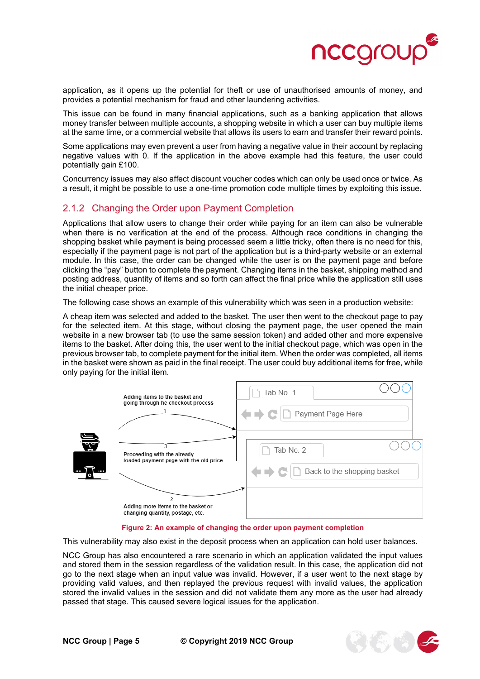

application, as it opens up the potential for theft or use of unauthorised amounts of money, and provides a potential mechanism for fraud and other laundering activities.

This issue can be found in many financial applications, such as a banking application that allows money transfer between multiple accounts, a shopping website in which a user can buy multiple items at the same time, or a commercial website that allows its users to earn and transfer their reward points.

Some applications may even prevent a user from having a negative value in their account by replacing negative values with 0. If the application in the above example had this feature, the user could potentially gain £100.

Concurrency issues may also affect discount voucher codes which can only be used once or twice. As a result, it might be possible to use a one-time promotion code multiple times by exploiting this issue.

# <span id="page-4-0"></span>2.1.2 Changing the Order upon Payment Completion

Applications that allow users to change their order while paying for an item can also be vulnerable when there is no verification at the end of the process. Although race conditions in changing the shopping basket while payment is being processed seem a little tricky, often there is no need for this, especially if the payment page is not part of the application but is a third-party website or an external module. In this case, the order can be changed while the user is on the payment page and before clicking the "pay" button to complete the payment. Changing items in the basket, shipping method and posting address, quantity of items and so forth can affect the final price while the application still uses the initial cheaper price.

The following case shows an example of this vulnerability which was seen in a production website:

A cheap item was selected and added to the basket. The user then went to the checkout page to pay for the selected item. At this stage, without closing the payment page, the user opened the main website in a new browser tab (to use the same session token) and added other and more expensive items to the basket. After doing this, the user went to the initial checkout page, which was open in the previous browser tab, to complete payment for the initial item. When the order was completed, all items in the basket were shown as paid in the final receipt. The user could buy additional items for free, while only paying for the initial item.



#### **Figure 2: An example of changing the order upon payment completion**

This vulnerability may also exist in the deposit process when an application can hold user balances.

NCC Group has also encountered a rare scenario in which an application validated the input values and stored them in the session regardless of the validation result. In this case, the application did not go to the next stage when an input value was invalid. However, if a user went to the next stage by providing valid values, and then replayed the previous request with invalid values, the application stored the invalid values in the session and did not validate them any more as the user had already passed that stage. This caused severe logical issues for the application.

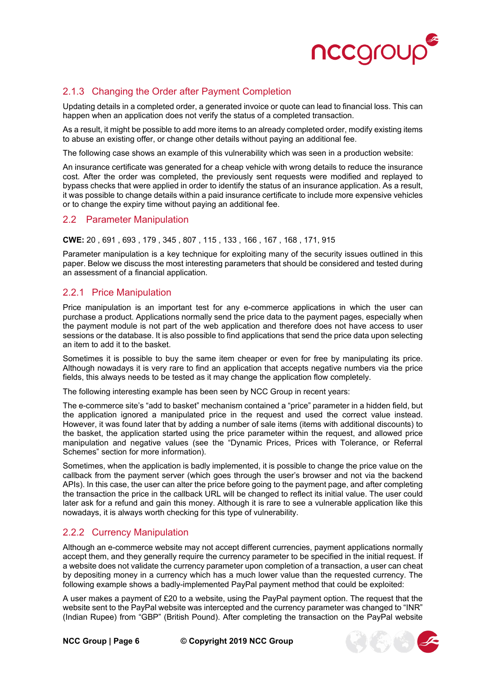

# <span id="page-5-0"></span>2.1.3 Changing the Order after Payment Completion

Updating details in a completed order, a generated invoice or quote can lead to financial loss. This can happen when an application does not verify the status of a completed transaction.

As a result, it might be possible to add more items to an already completed order, modify existing items to abuse an existing offer, or change other details without paying an additional fee.

The following case shows an example of this vulnerability which was seen in a production website:

An insurance certificate was generated for a cheap vehicle with wrong details to reduce the insurance cost. After the order was completed, the previously sent requests were modified and replayed to bypass checks that were applied in order to identify the status of an insurance application. As a result, it was possible to change details within a paid insurance certificate to include more expensive vehicles or to change the expiry time without paying an additional fee.

# <span id="page-5-1"></span>2.2 Parameter Manipulation

**CWE:** 20 , 691 , 693 , 179 , 345 , 807 , 115 , 133 , 166 , 167 , 168 , 171, 915

Parameter manipulation is a key technique for exploiting many of the security issues outlined in this paper. Below we discuss the most interesting parameters that should be considered and tested during an assessment of a financial application.

# <span id="page-5-2"></span>2.2.1 Price Manipulation

Price manipulation is an important test for any e-commerce applications in which the user can purchase a product. Applications normally send the price data to the payment pages, especially when the payment module is not part of the web application and therefore does not have access to user sessions or the database. It is also possible to find applications that send the price data upon selecting an item to add it to the basket.

Sometimes it is possible to buy the same item cheaper or even for free by manipulating its price. Although nowadays it is very rare to find an application that accepts negative numbers via the price fields, this always needs to be tested as it may change the application flow completely.

The following interesting example has been seen by NCC Group in recent years:

The e-commerce site's "add to basket" mechanism contained a "price" parameter in a hidden field, but the application ignored a manipulated price in the request and used the correct value instead. However, it was found later that by adding a number of sale items (items with additional discounts) to the basket, the application started using the price parameter within the request, and allowed price manipulation and negative values (see the "Dynamic Prices, Prices with Tolerance, or Referral Schemes" section for more information).

Sometimes, when the application is badly implemented, it is possible to change the price value on the callback from the payment server (which goes through the user's browser and not via the backend APIs). In this case, the user can alter the price before going to the payment page, and after completing the transaction the price in the callback URL will be changed to reflect its initial value. The user could later ask for a refund and gain this money. Although it is rare to see a vulnerable application like this nowadays, it is always worth checking for this type of vulnerability.

# <span id="page-5-3"></span>2.2.2 Currency Manipulation

Although an e-commerce website may not accept different currencies, payment applications normally accept them, and they generally require the currency parameter to be specified in the initial request. If a website does not validate the currency parameter upon completion of a transaction, a user can cheat by depositing money in a currency which has a much lower value than the requested currency. The following example shows a badly-implemented PayPal payment method that could be exploited:

A user makes a payment of £20 to a website, using the PayPal payment option. The request that the website sent to the PayPal website was intercepted and the currency parameter was changed to "INR" (Indian Rupee) from "GBP" (British Pound). After completing the transaction on the PayPal website

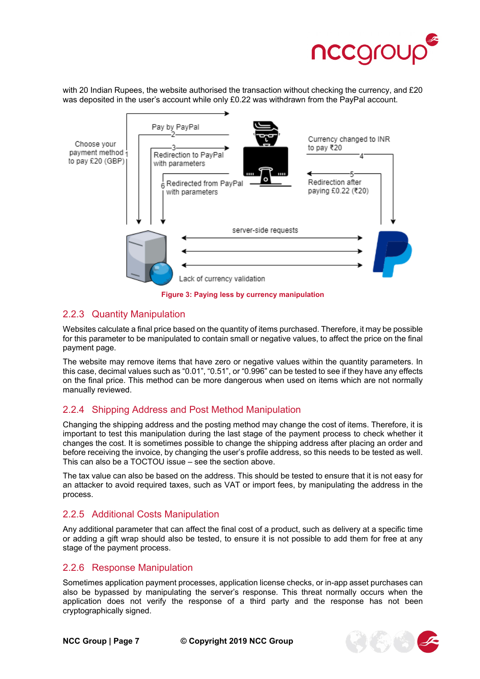

with 20 Indian Rupees, the website authorised the transaction without checking the currency, and £20 was deposited in the user's account while only £0.22 was withdrawn from the PayPal account.



# <span id="page-6-0"></span>2.2.3 Quantity Manipulation

Websites calculate a final price based on the quantity of items purchased. Therefore, it may be possible for this parameter to be manipulated to contain small or negative values, to affect the price on the final payment page.

The website may remove items that have zero or negative values within the quantity parameters. In this case, decimal values such as "0.01", "0.51", or "0.996" can be tested to see if they have any effects on the final price. This method can be more dangerous when used on items which are not normally manually reviewed.

# <span id="page-6-1"></span>2.2.4 Shipping Address and Post Method Manipulation

Changing the shipping address and the posting method may change the cost of items. Therefore, it is important to test this manipulation during the last stage of the payment process to check whether it changes the cost. It is sometimes possible to change the shipping address after placing an order and before receiving the invoice, by changing the user's profile address, so this needs to be tested as well. This can also be a TOCTOU issue – see the section above.

The tax value can also be based on the address. This should be tested to ensure that it is not easy for an attacker to avoid required taxes, such as VAT or import fees, by manipulating the address in the process.

# <span id="page-6-2"></span>2.2.5 Additional Costs Manipulation

Any additional parameter that can affect the final cost of a product, such as delivery at a specific time or adding a gift wrap should also be tested, to ensure it is not possible to add them for free at any stage of the payment process.

# <span id="page-6-3"></span>2.2.6 Response Manipulation

Sometimes application payment processes, application license checks, or in-app asset purchases can also be bypassed by manipulating the server's response. This threat normally occurs when the application does not verify the response of a third party and the response has not been cryptographically signed.

**NCC Group | Page 7 © Copyright 2019 NCC Group**

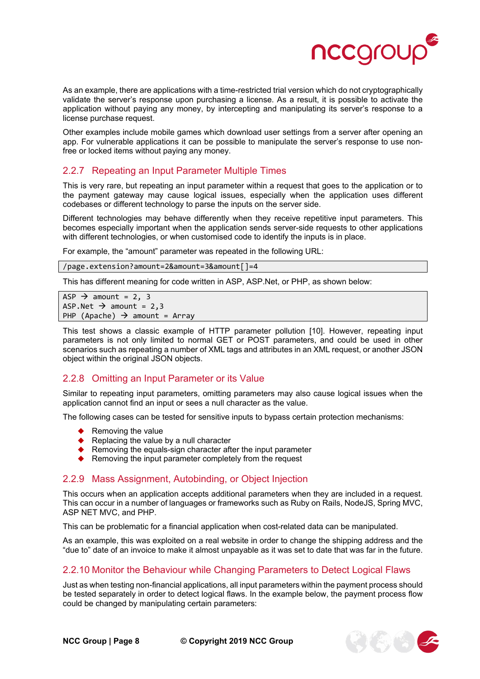

As an example, there are applications with a time-restricted trial version which do not cryptographically validate the server's response upon purchasing a license. As a result, it is possible to activate the application without paying any money, by intercepting and manipulating its server's response to a license purchase request.

Other examples include mobile games which download user settings from a server after opening an app. For vulnerable applications it can be possible to manipulate the server's response to use nonfree or locked items without paying any money.

# <span id="page-7-0"></span>2.2.7 Repeating an Input Parameter Multiple Times

This is very rare, but repeating an input parameter within a request that goes to the application or to the payment gateway may cause logical issues, especially when the application uses different codebases or different technology to parse the inputs on the server side.

Different technologies may behave differently when they receive repetitive input parameters. This becomes especially important when the application sends server-side requests to other applications with different technologies, or when customised code to identify the inputs is in place.

For example, the "amount" parameter was repeated in the following URL:

```
/page.extension?amount=2&amount=3&amount[]=4
```
This has different meaning for code written in ASP, ASP.Net, or PHP, as shown below:

```
ASP \rightarrow amount = 2, 3
ASP.Net \rightarrow amount = 2,3
PHP (Apache) \rightarrow amount = Array
```
This test shows a classic example of HTTP parameter pollution [\[10\]](#page-22-2). However, repeating input parameters is not only limited to normal GET or POST parameters, and could be used in other scenarios such as repeating a number of XML tags and attributes in an XML request, or another JSON object within the original JSON objects.

# <span id="page-7-1"></span>2.2.8 Omitting an Input Parameter or its Value

Similar to repeating input parameters, omitting parameters may also cause logical issues when the application cannot find an input or sees a null character as the value.

The following cases can be tested for sensitive inputs to bypass certain protection mechanisms:

- Removing the value
- $\triangle$  Replacing the value by a null character
- $\triangle$  Removing the equals-sign character after the input parameter
- ♦ Removing the input parameter completely from the request

#### <span id="page-7-2"></span>2.2.9 Mass Assignment, Autobinding, or Object Injection

This occurs when an application accepts additional parameters when they are included in a request. This can occur in a number of languages or frameworks such as Ruby on Rails, NodeJS, Spring MVC, ASP NET MVC, and PHP.

This can be problematic for a financial application when cost-related data can be manipulated.

As an example, this was exploited on a real website in order to change the shipping address and the "due to" date of an invoice to make it almost unpayable as it was set to date that was far in the future.

# <span id="page-7-3"></span>2.2.10 Monitor the Behaviour while Changing Parameters to Detect Logical Flaws

Just as when testing non-financial applications, all input parameters within the payment process should be tested separately in order to detect logical flaws. In the example below, the payment process flow could be changed by manipulating certain parameters:

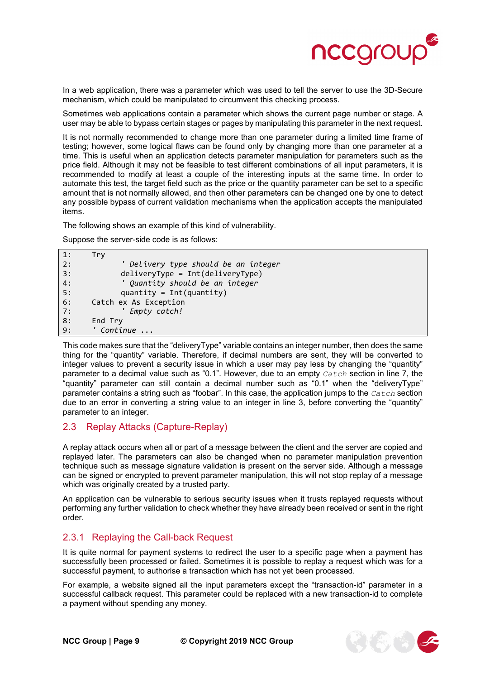

In a web application, there was a parameter which was used to tell the server to use the 3D-Secure mechanism, which could be manipulated to circumvent this checking process.

Sometimes web applications contain a parameter which shows the current page number or stage. A user may be able to bypass certain stages or pages by manipulating this parameter in the next request.

It is not normally recommended to change more than one parameter during a limited time frame of testing; however, some logical flaws can be found only by changing more than one parameter at a time. This is useful when an application detects parameter manipulation for parameters such as the price field. Although it may not be feasible to test different combinations of all input parameters, it is recommended to modify at least a couple of the interesting inputs at the same time. In order to automate this test, the target field such as the price or the quantity parameter can be set to a specific amount that is not normally allowed, and then other parameters can be changed one by one to detect any possible bypass of current validation mechanisms when the application accepts the manipulated items.

The following shows an example of this kind of vulnerability.

Suppose the server-side code is as follows:

```
1: Try
2: ' Delivery type should be an integer
3: deliveryType = Int(deliveryType)
4: ' Quantity should be an integer
5: quantity = Int(quantity)
6: Catch ex As Exception
7: ' Empty catch!
8: End Try
9: ' Continue ...
```
This code makes sure that the "deliveryType" variable contains an integer number, then does the same thing for the "quantity" variable. Therefore, if decimal numbers are sent, they will be converted to integer values to prevent a security issue in which a user may pay less by changing the "quantity" parameter to a decimal value such as "0.1". However, due to an empty *Catch* section in line 7, the "quantity" parameter can still contain a decimal number such as "0.1" when the "deliveryType" parameter contains a string such as "foobar". In this case, the application jumps to the *Catch* section due to an error in converting a string value to an integer in line 3, before converting the "quantity" parameter to an integer.

# <span id="page-8-0"></span>2.3 Replay Attacks (Capture-Replay)

A replay attack occurs when all or part of a message between the client and the server are copied and replayed later. The parameters can also be changed when no parameter manipulation prevention technique such as message signature validation is present on the server side. Although a message can be signed or encrypted to prevent parameter manipulation, this will not stop replay of a message which was originally created by a trusted party.

An application can be vulnerable to serious security issues when it trusts replayed requests without performing any further validation to check whether they have already been received or sent in the right order.

# <span id="page-8-1"></span>2.3.1 Replaying the Call-back Request

It is quite normal for payment systems to redirect the user to a specific page when a payment has successfully been processed or failed. Sometimes it is possible to replay a request which was for a successful payment, to authorise a transaction which has not yet been processed.

For example, a website signed all the input parameters except the "transaction-id" parameter in a successful callback request. This parameter could be replaced with a new transaction-id to complete a payment without spending any money.

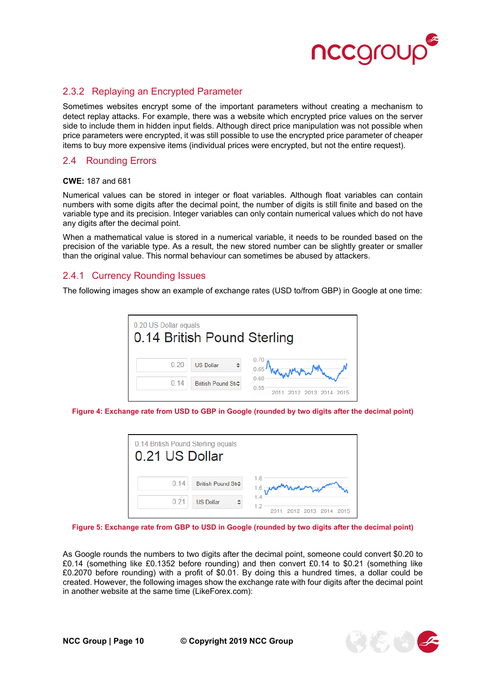

# <span id="page-9-0"></span>2.3.2 Replaying an Encrypted Parameter

Sometimes websites encrypt some of the important parameters without creating a mechanism to detect replay attacks. For example, there was a website which encrypted price values on the server side to include them in hidden input fields. Although direct price manipulation was not possible when price parameters were encrypted, it was still possible to use the encrypted price parameter of cheaper items to buy more expensive items (individual prices were encrypted, but not the entire request).

# <span id="page-9-1"></span>2.4 Rounding Errors

#### **CWE:** 187 and 681

Numerical values can be stored in integer or float variables. Although float variables can contain numbers with some digits after the decimal point, the number of digits is still finite and based on the variable type and its precision. Integer variables can only contain numerical values which do not have any digits after the decimal point.

When a mathematical value is stored in a numerical variable, it needs to be rounded based on the precision of the variable type. As a result, the new stored number can be slightly greater or smaller than the original value. This normal behaviour can sometimes be abused by attackers.

# <span id="page-9-2"></span>2.4.1 Currency Rounding Issues

The following images show an example of exchange rates (USD to/from GBP) in Google at one time:



**Figure 4: Exchange rate from USD to GBP in Google (rounded by two digits after the decimal point)**

| 0.14 British Pound Sterling equals<br>0.21 US Dollar |                   |                                              |  |  |  |  |  |  |
|------------------------------------------------------|-------------------|----------------------------------------------|--|--|--|--|--|--|
| 0.14                                                 | British Pound Ste | 1.8<br>1.6                                   |  |  |  |  |  |  |
| 0.21                                                 | <b>US Dollar</b>  | 1.4<br>1.2<br>2012 2013 2014<br>2011<br>2015 |  |  |  |  |  |  |

**Figure 5: Exchange rate from GBP to USD in Google (rounded by two digits after the decimal point)**

As Google rounds the numbers to two digits after the decimal point, someone could convert \$0.20 to £0.14 (something like £0.1352 before rounding) and then convert £0.14 to \$0.21 (something like £0.2070 before rounding) with a profit of \$0.01. By doing this a hundred times, a dollar could be created. However, the following images show the exchange rate with four digits after the decimal point in another website at the same time (LikeForex.com):

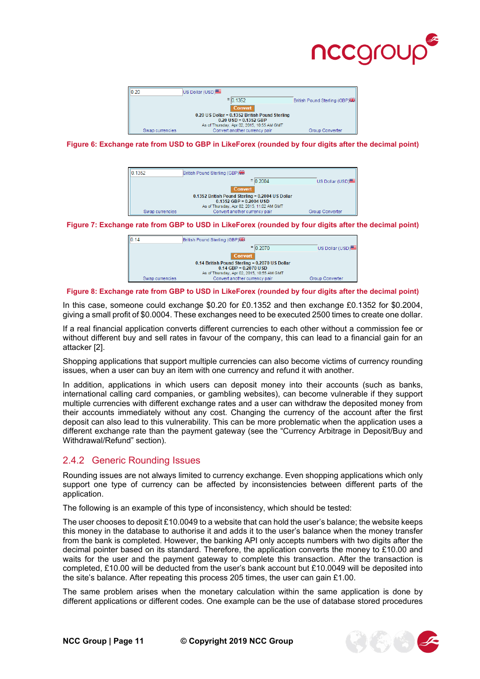

| $ 0.20\rangle$ |                 | US Dollar (USD)                                                         |                              |
|----------------|-----------------|-------------------------------------------------------------------------|------------------------------|
|                |                 | $= 0.1352$                                                              | British Pound Sterling (GBP) |
|                |                 | Convert                                                                 |                              |
|                |                 | 0.20 US Dollar = 0.1352 British Pound Sterling                          |                              |
|                |                 | $0.20$ USD = $0.1352$ GBP<br>As of Thursday, Apr 02, 2015, 10:55 AM GMT |                              |
|                | Swap currencies | Convert another currency pair                                           | <b>Group Converter</b>       |

#### **Figure 6: Exchange rate from USD to GBP in LikeForex (rounded by four digits after the decimal point)**

| 0.1352          | British Pound Sterling (GBP)                                            |                        |
|-----------------|-------------------------------------------------------------------------|------------------------|
|                 | $= 0.2004$                                                              | US Dollar (USD)        |
|                 | <b>Convert</b>                                                          |                        |
|                 | 0.1352 British Pound Sterling = 0.2004 US Dollar                        |                        |
|                 | $0.1352$ GBP = 0.2004 USD<br>As of Thursday, Apr 02, 2015, 11:02 AM GMT |                        |
| Swap currencies | Convert another currency pair                                           | <b>Group Converter</b> |

#### **Figure 7: Exchange rate from GBP to USD in LikeForex (rounded by four digits after the decimal point)**



#### **Figure 8: Exchange rate from GBP to USD in LikeForex (rounded by four digits after the decimal point)**

In this case, someone could exchange \$0.20 for £0.1352 and then exchange £0.1352 for \$0.2004, giving a small profit of \$0.0004. These exchanges need to be executed 2500 times to create one dollar.

If a real financial application converts different currencies to each other without a commission fee or without different buy and sell rates in favour of the company, this can lead to a financial gain for an attacker [\[2\]](#page-22-3).

Shopping applications that support multiple currencies can also become victims of currency rounding issues, when a user can buy an item with one currency and refund it with another.

In addition, applications in which users can deposit money into their accounts (such as banks, international calling card companies, or gambling websites), can become vulnerable if they support multiple currencies with different exchange rates and a user can withdraw the deposited money from their accounts immediately without any cost. Changing the currency of the account after the first deposit can also lead to this vulnerability. This can be more problematic when the application uses a different exchange rate than the payment gateway (see the "Currency Arbitrage in Deposit/Buy and Withdrawal/Refund" section).

#### <span id="page-10-0"></span>2.4.2 Generic Rounding Issues

Rounding issues are not always limited to currency exchange. Even shopping applications which only support one type of currency can be affected by inconsistencies between different parts of the application.

The following is an example of this type of inconsistency, which should be tested:

The user chooses to deposit £10.0049 to a website that can hold the user's balance; the website keeps this money in the database to authorise it and adds it to the user's balance when the money transfer from the bank is completed. However, the banking API only accepts numbers with two digits after the decimal pointer based on its standard. Therefore, the application converts the money to £10.00 and waits for the user and the payment gateway to complete this transaction. After the transaction is completed, £10.00 will be deducted from the user's bank account but £10.0049 will be deposited into the site's balance. After repeating this process 205 times, the user can gain £1.00.

The same problem arises when the monetary calculation within the same application is done by different applications or different codes. One example can be the use of database stored procedures

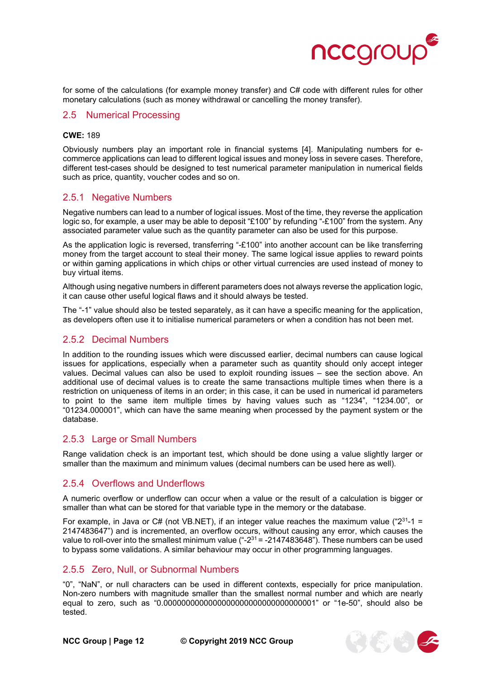

for some of the calculations (for example money transfer) and C# code with different rules for other monetary calculations (such as money withdrawal or cancelling the money transfer).

#### <span id="page-11-0"></span>2.5 Numerical Processing

#### **CWE:** 189

Obviously numbers play an important role in financial systems [4]. Manipulating numbers for ecommerce applications can lead to different logical issues and money loss in severe cases. Therefore, different test-cases should be designed to test numerical parameter manipulation in numerical fields such as price, quantity, voucher codes and so on.

# <span id="page-11-1"></span>2.5.1 Negative Numbers

Negative numbers can lead to a number of logical issues. Most of the time, they reverse the application logic so, for example, a user may be able to deposit "£100" by refunding "-£100" from the system. Any associated parameter value such as the quantity parameter can also be used for this purpose.

As the application logic is reversed, transferring "-£100" into another account can be like transferring money from the target account to steal their money. The same logical issue applies to reward points or within gaming applications in which chips or other virtual currencies are used instead of money to buy virtual items.

Although using negative numbers in different parameters does not always reverse the application logic, it can cause other useful logical flaws and it should always be tested.

The "-1" value should also be tested separately, as it can have a specific meaning for the application, as developers often use it to initialise numerical parameters or when a condition has not been met.

# <span id="page-11-2"></span>2.5.2 Decimal Numbers

In addition to the rounding issues which were discussed earlier, decimal numbers can cause logical issues for applications, especially when a parameter such as quantity should only accept integer values. Decimal values can also be used to exploit rounding issues – see the section above. An additional use of decimal values is to create the same transactions multiple times when there is a restriction on uniqueness of items in an order; in this case, it can be used in numerical id parameters to point to the same item multiple times by having values such as "1234", "1234.00", or "01234.000001", which can have the same meaning when processed by the payment system or the database.

# <span id="page-11-3"></span>2.5.3 Large or Small Numbers

Range validation check is an important test, which should be done using a value slightly larger or smaller than the maximum and minimum values (decimal numbers can be used here as well).

### <span id="page-11-4"></span>2.5.4 Overflows and Underflows

A numeric overflow or underflow can occur when a value or the result of a calculation is bigger or smaller than what can be stored for that variable type in the memory or the database.

For example, in Java or C# (not VB.NET), if an integer value reaches the maximum value (" $2^{31}$ -1 = 2147483647") and is incremented, an overflow occurs, without causing any error, which causes the value to roll-over into the smallest minimum value ("- $2^{31}$  = -2147483648"). These numbers can be used to bypass some validations. A similar behaviour may occur in other programming languages.

#### <span id="page-11-5"></span>2.5.5 Zero, Null, or Subnormal Numbers

"0", "NaN", or null characters can be used in different contexts, especially for price manipulation. Non-zero numbers with magnitude smaller than the smallest normal number and which are nearly equal to zero, such as "0.0000000000000000000000000000000001" or "1e-50", should also be tested.

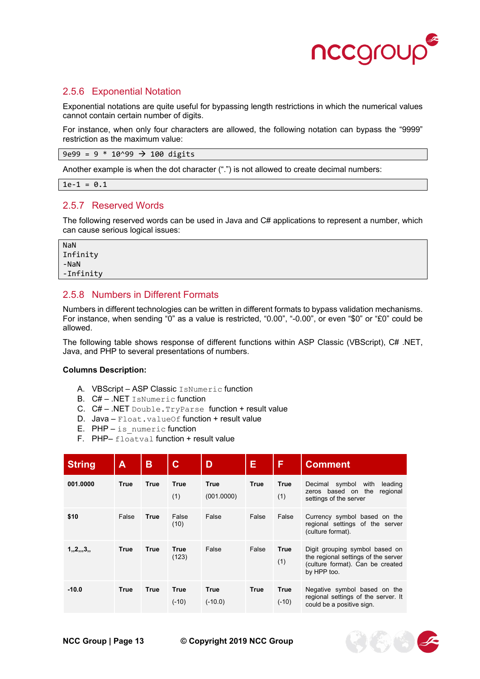

# <span id="page-12-0"></span>2.5.6 Exponential Notation

Exponential notations are quite useful for bypassing length restrictions in which the numerical values cannot contain certain number of digits.

For instance, when only four characters are allowed, the following notation can bypass the "9999" restriction as the maximum value:

 $9e99 = 9 * 10^099 \rightarrow 100$  digits

Another example is when the dot character (".") is not allowed to create decimal numbers:

<span id="page-12-1"></span> $1e-1 = 0.1$ 

#### 2.5.7 Reserved Words

The following reserved words can be used in Java and C# applications to represent a number, which can cause serious logical issues:

NaN Infinity -NaN -Infinity

#### <span id="page-12-2"></span>2.5.8 Numbers in Different Formats

Numbers in different technologies can be written in different formats to bypass validation mechanisms. For instance, when sending "0" as a value is restricted, "0.00", "-0.00", or even "\$0" or "£0" could be allowed.

The following table shows response of different functions within ASP Classic (VBScript), C# .NET, Java, and PHP to several presentations of numbers.

#### **Columns Description:**

- A. VBScript ASP Classic IsNumeric function
- B. C#-. NET IsNumeric function
- C. C# .NET Double.TryParse function + result value
- D. Java Float.valueOf function + result value
- E. PHP-is numeric function
- F. PHP– floatval function + result value

| <b>String</b> | A           | B           | C               | D                         | Ē.          | F                  | <b>Comment</b>                                                                                                           |
|---------------|-------------|-------------|-----------------|---------------------------|-------------|--------------------|--------------------------------------------------------------------------------------------------------------------------|
| 001.0000      | True        | True        | True<br>(1)     | <b>True</b><br>(001.0000) | <b>True</b> | <b>True</b><br>(1) | Decimal symbol with<br>leading<br>regional<br>based on the<br>zeros<br>settings of the server                            |
| \$10          | False       | <b>True</b> | False<br>(10)   | False                     | False       | False              | Currency symbol based on the<br>regional settings of the server<br>(culture format).                                     |
| 1, 2, 3, 3,   | <b>True</b> | True        | True<br>(123)   | False                     | False       | True<br>(1)        | Digit grouping symbol based on<br>the regional settings of the server<br>(culture format). Can be created<br>by HPP too. |
| $-10.0$       | <b>True</b> | <b>True</b> | True<br>$(-10)$ | <b>True</b><br>$(-10.0)$  | <b>True</b> | True<br>$(-10)$    | Negative symbol based on the<br>regional settings of the server. It<br>could be a positive sign.                         |

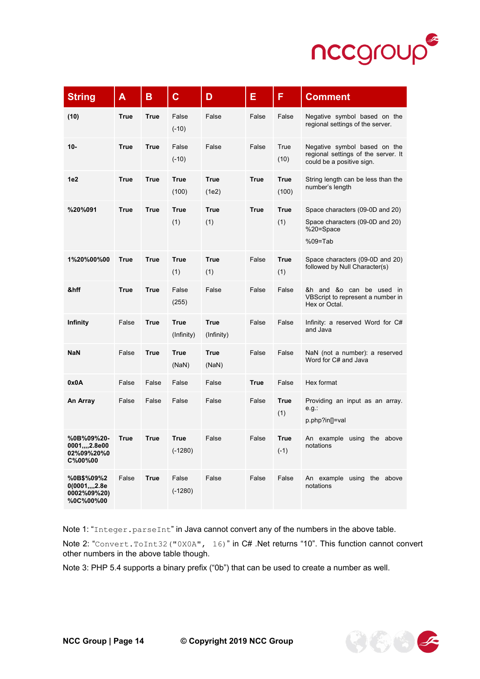

 $9666$ 

| <b>String</b>                                            | Α           | B           | $\mathbf c$               | D                         | E           | F                     | <b>Comment</b>                                                                                   |
|----------------------------------------------------------|-------------|-------------|---------------------------|---------------------------|-------------|-----------------------|--------------------------------------------------------------------------------------------------|
| (10)                                                     | <b>True</b> | <b>True</b> | False<br>$(-10)$          | False                     | False       | False                 | Negative symbol based on the<br>regional settings of the server.                                 |
| $10 -$                                                   | True        | <b>True</b> | False<br>$(-10)$          | False                     | False       | True<br>(10)          | Negative symbol based on the<br>regional settings of the server. It<br>could be a positive sign. |
| 1e2                                                      | <b>True</b> | <b>True</b> | <b>True</b><br>(100)      | <b>True</b><br>(1e2)      | <b>True</b> | <b>True</b><br>(100)  | String length can be less than the<br>number's length                                            |
| %20%091                                                  | True        | <b>True</b> | <b>True</b><br>(1)        | <b>True</b><br>(1)        | True        | <b>True</b><br>(1)    | Space characters (09-0D and 20)<br>Space characters (09-0D and 20)<br>%20=Space<br>%09=Tab       |
| 1%20%00%00                                               | <b>True</b> | <b>True</b> | <b>True</b><br>(1)        | <b>True</b><br>(1)        | False       | <b>True</b><br>(1)    | Space characters (09-0D and 20)<br>followed by Null Character(s)                                 |
| &hff                                                     | <b>True</b> | <b>True</b> | False<br>(255)            | False                     | False       | False                 | &h and &o can be used in<br>VBScript to represent a number in<br>Hex or Octal.                   |
| <b>Infinity</b>                                          | False       | <b>True</b> | <b>True</b><br>(Infinity) | <b>True</b><br>(Infinity) | False       | False                 | Infinity: a reserved Word for C#<br>and Java                                                     |
| <b>NaN</b>                                               | False       | <b>True</b> | True<br>(NaN)             | <b>True</b><br>(NaN)      | False       | False                 | NaN (not a number): a reserved<br>Word for C# and Java                                           |
| 0x0A                                                     | False       | False       | False                     | False                     | <b>True</b> | False                 | Hex format                                                                                       |
| An Array                                                 | False       | False       | False                     | False                     | False       | <b>True</b><br>(1)    | Providing an input as an array.<br>e.g.<br>p.php?in[]=val                                        |
| %0B%09%20-<br>0001, 0.2800<br>02%09%20%0<br>C%00%00      | <b>True</b> | <b>True</b> | <b>True</b><br>$(-1280)$  | False                     | False       | <b>True</b><br>$(-1)$ | An example using the above<br>notations                                                          |
| %0B\$%09%2<br>0(0001,,,,2.8e<br>0002%09%20)<br>%0C%00%00 | False       | <b>True</b> | False<br>$(-1280)$        | False                     | False       | False                 | An example using the above<br>notations                                                          |

Note 1: "Integer.parseInt" in Java cannot convert any of the numbers in the above table.

Note 2: "Convert.ToInt32("0X0A", 16)" in C# .Net returns "10". This function cannot convert other numbers in the above table though.

Note 3: PHP 5.4 supports a binary prefix ("0b") that can be used to create a number as well.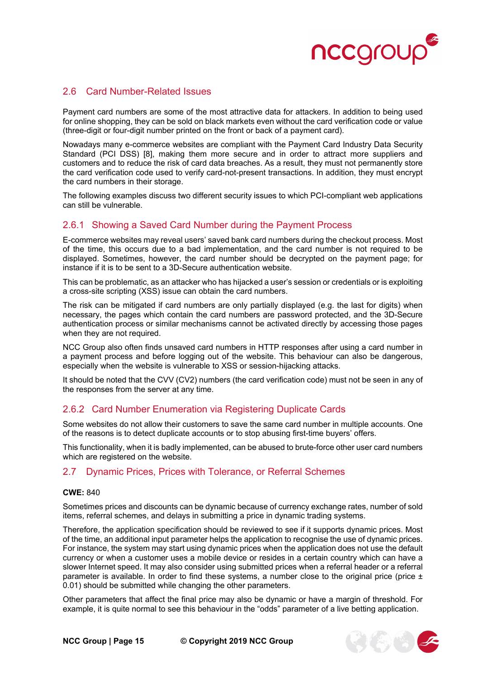

 $(\mathbb{Z})$   $(\mathbb{Z})$ 

# <span id="page-14-0"></span>2.6 Card Number-Related Issues

Payment card numbers are some of the most attractive data for attackers. In addition to being used for online shopping, they can be sold on black markets even without the card verification code or value (three-digit or four-digit number printed on the front or back of a payment card).

Nowadays many e-commerce websites are compliant with the Payment Card Industry Data Security Standard (PCI DSS) [8], making them more secure and in order to attract more suppliers and customers and to reduce the risk of card data breaches. As a result, they must not permanently store the card verification code used to verify card-not-present transactions. In addition, they must encrypt the card numbers in their storage.

The following examples discuss two different security issues to which PCI-compliant web applications can still be vulnerable.

# <span id="page-14-1"></span>2.6.1 Showing a Saved Card Number during the Payment Process

E-commerce websites may reveal users' saved bank card numbers during the checkout process. Most of the time, this occurs due to a bad implementation, and the card number is not required to be displayed. Sometimes, however, the card number should be decrypted on the payment page; for instance if it is to be sent to a 3D-Secure authentication website.

This can be problematic, as an attacker who has hijacked a user's session or credentials or is exploiting a cross-site scripting (XSS) issue can obtain the card numbers.

The risk can be mitigated if card numbers are only partially displayed (e.g. the last for digits) when necessary, the pages which contain the card numbers are password protected, and the 3D-Secure authentication process or similar mechanisms cannot be activated directly by accessing those pages when they are not required.

NCC Group also often finds unsaved card numbers in HTTP responses after using a card number in a payment process and before logging out of the website. This behaviour can also be dangerous, especially when the website is vulnerable to XSS or session-hijacking attacks.

It should be noted that the CVV (CV2) numbers (the card verification code) must not be seen in any of the responses from the server at any time.

# <span id="page-14-2"></span>2.6.2 Card Number Enumeration via Registering Duplicate Cards

Some websites do not allow their customers to save the same card number in multiple accounts. One of the reasons is to detect duplicate accounts or to stop abusing first-time buyers' offers.

This functionality, when it is badly implemented, can be abused to brute-force other user card numbers which are registered on the website.

#### <span id="page-14-3"></span>2.7 Dynamic Prices, Prices with Tolerance, or Referral Schemes

#### **CWE:** 840

Sometimes prices and discounts can be dynamic because of currency exchange rates, number of sold items, referral schemes, and delays in submitting a price in dynamic trading systems.

Therefore, the application specification should be reviewed to see if it supports dynamic prices. Most of the time, an additional input parameter helps the application to recognise the use of dynamic prices. For instance, the system may start using dynamic prices when the application does not use the default currency or when a customer uses a mobile device or resides in a certain country which can have a slower Internet speed. It may also consider using submitted prices when a referral header or a referral parameter is available. In order to find these systems, a number close to the original price (price ± 0.01) should be submitted while changing the other parameters.

Other parameters that affect the final price may also be dynamic or have a margin of threshold. For example, it is quite normal to see this behaviour in the "odds" parameter of a live betting application.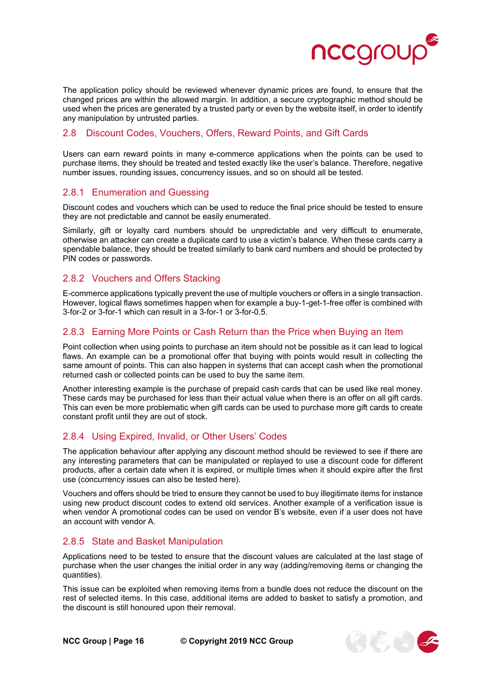

The application policy should be reviewed whenever dynamic prices are found, to ensure that the changed prices are within the allowed margin. In addition, a secure cryptographic method should be used when the prices are generated by a trusted party or even by the website itself, in order to identify any manipulation by untrusted parties.

# <span id="page-15-0"></span>2.8 Discount Codes, Vouchers, Offers, Reward Points, and Gift Cards

Users can earn reward points in many e-commerce applications when the points can be used to purchase items, they should be treated and tested exactly like the user's balance. Therefore, negative number issues, rounding issues, concurrency issues, and so on should all be tested.

# <span id="page-15-1"></span>2.8.1 Enumeration and Guessing

Discount codes and vouchers which can be used to reduce the final price should be tested to ensure they are not predictable and cannot be easily enumerated.

Similarly, gift or loyalty card numbers should be unpredictable and very difficult to enumerate, otherwise an attacker can create a duplicate card to use a victim's balance. When these cards carry a spendable balance, they should be treated similarly to bank card numbers and should be protected by PIN codes or passwords.

# <span id="page-15-2"></span>2.8.2 Vouchers and Offers Stacking

E-commerce applications typically prevent the use of multiple vouchers or offers in a single transaction. However, logical flaws sometimes happen when for example a buy-1-get-1-free offer is combined with 3-for-2 or 3-for-1 which can result in a 3-for-1 or 3-for-0.5.

# <span id="page-15-3"></span>2.8.3 Earning More Points or Cash Return than the Price when Buying an Item

Point collection when using points to purchase an item should not be possible as it can lead to logical flaws. An example can be a promotional offer that buying with points would result in collecting the same amount of points. This can also happen in systems that can accept cash when the promotional returned cash or collected points can be used to buy the same item.

Another interesting example is the purchase of prepaid cash cards that can be used like real money. These cards may be purchased for less than their actual value when there is an offer on all gift cards. This can even be more problematic when gift cards can be used to purchase more gift cards to create constant profit until they are out of stock.

# <span id="page-15-4"></span>2.8.4 Using Expired, Invalid, or Other Users' Codes

The application behaviour after applying any discount method should be reviewed to see if there are any interesting parameters that can be manipulated or replayed to use a discount code for different products, after a certain date when it is expired, or multiple times when it should expire after the first use (concurrency issues can also be tested here).

Vouchers and offers should be tried to ensure they cannot be used to buy illegitimate items for instance using new product discount codes to extend old services. Another example of a verification issue is when vendor A promotional codes can be used on vendor B's website, even if a user does not have an account with vendor A.

# <span id="page-15-5"></span>2.8.5 State and Basket Manipulation

Applications need to be tested to ensure that the discount values are calculated at the last stage of purchase when the user changes the initial order in any way (adding/removing items or changing the quantities).

This issue can be exploited when removing items from a bundle does not reduce the discount on the rest of selected items. In this case, additional items are added to basket to satisfy a promotion, and the discount is still honoured upon their removal.

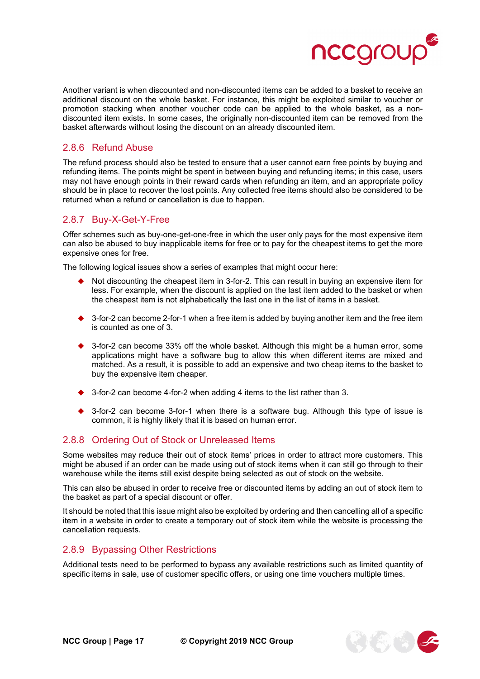

Another variant is when discounted and non-discounted items can be added to a basket to receive an additional discount on the whole basket. For instance, this might be exploited similar to voucher or promotion stacking when another voucher code can be applied to the whole basket, as a nondiscounted item exists. In some cases, the originally non-discounted item can be removed from the basket afterwards without losing the discount on an already discounted item.

# <span id="page-16-0"></span>2.8.6 Refund Abuse

The refund process should also be tested to ensure that a user cannot earn free points by buying and refunding items. The points might be spent in between buying and refunding items; in this case, users may not have enough points in their reward cards when refunding an item, and an appropriate policy should be in place to recover the lost points. Any collected free items should also be considered to be returned when a refund or cancellation is due to happen.

# <span id="page-16-1"></span>2.8.7 Buy-X-Get-Y-Free

Offer schemes such as buy-one-get-one-free in which the user only pays for the most expensive item can also be abused to buy inapplicable items for free or to pay for the cheapest items to get the more expensive ones for free.

The following logical issues show a series of examples that might occur here:

- Not discounting the cheapest item in 3-for-2. This can result in buying an expensive item for less. For example, when the discount is applied on the last item added to the basket or when the cheapest item is not alphabetically the last one in the list of items in a basket.
- 3-for-2 can become 2-for-1 when a free item is added by buying another item and the free item is counted as one of 3.
- ◆ 3-for-2 can become 33% off the whole basket. Although this might be a human error, some applications might have a software bug to allow this when different items are mixed and matched. As a result, it is possible to add an expensive and two cheap items to the basket to buy the expensive item cheaper.
- 3-for-2 can become 4-for-2 when adding 4 items to the list rather than 3.
- ◆ 3-for-2 can become 3-for-1 when there is a software bug. Although this type of issue is common, it is highly likely that it is based on human error.

# <span id="page-16-2"></span>2.8.8 Ordering Out of Stock or Unreleased Items

Some websites may reduce their out of stock items' prices in order to attract more customers. This might be abused if an order can be made using out of stock items when it can still go through to their warehouse while the items still exist despite being selected as out of stock on the website.

This can also be abused in order to receive free or discounted items by adding an out of stock item to the basket as part of a special discount or offer.

It should be noted that this issue might also be exploited by ordering and then cancelling all of a specific item in a website in order to create a temporary out of stock item while the website is processing the cancellation requests.

# <span id="page-16-3"></span>2.8.9 Bypassing Other Restrictions

Additional tests need to be performed to bypass any available restrictions such as limited quantity of specific items in sale, use of customer specific offers, or using one time vouchers multiple times.

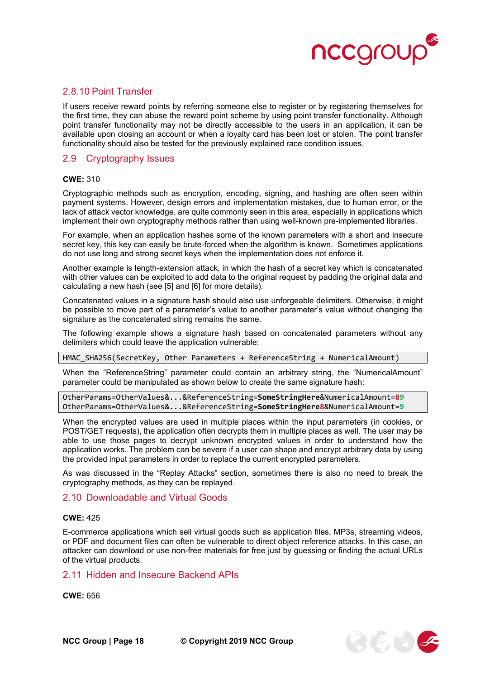

# <span id="page-17-0"></span>2.8.10 Point Transfer

If users receive reward points by referring someone else to register or by registering themselves for the first time, they can abuse the reward point scheme by using point transfer functionality. Although point transfer functionality may not be directly accessible to the users in an application, it can be available upon closing an account or when a loyalty card has been lost or stolen. The point transfer functionality should also be tested for the previously explained race condition issues.

# <span id="page-17-1"></span>2.9 Cryptography Issues

#### **CWE:** 310

Cryptographic methods such as encryption, encoding, signing, and hashing are often seen within payment systems. However, design errors and implementation mistakes, due to human error, or the lack of attack vector knowledge, are quite commonly seen in this area, especially in applications which implement their own cryptography methods rather than using well-known pre-implemented libraries.

For example, when an application hashes some of the known parameters with a short and insecure secret key, this key can easily be brute-forced when the algorithm is known. Sometimes applications do not use long and strong secret keys when the implementation does not enforce it.

Another example is length-extension attack, in which the hash of a secret key which is concatenated with other values can be exploited to add data to the original request by padding the original data and calculating a new hash (see [\[5\]](#page-22-4) and [\[6\]](#page-22-5) for more details).

Concatenated values in a signature hash should also use unforgeable delimiters. Otherwise, it might be possible to move part of a parameter's value to another parameter's value without changing the signature as the concatenated string remains the same.

The following example shows a signature hash based on concatenated parameters without any delimiters which could leave the application vulnerable:

HMAC SHA256(SecretKey, Other Parameters + ReferenceString + NumericalAmount)

When the "ReferenceString" parameter could contain an arbitrary string, the "NumericalAmount" parameter could be manipulated as shown below to create the same signature hash:

OtherParams=OtherValues&...&ReferenceString=**SomeStringHere**&NumericalAmount=**89** OtherParams=OtherValues&...&ReferenceString=**SomeStringHere8**&NumericalAmount=**9**

When the encrypted values are used in multiple places within the input parameters (in cookies, or POST/GET requests), the application often decrypts them in multiple places as well. The user may be able to use those pages to decrypt unknown encrypted values in order to understand how the application works. The problem can be severe if a user can shape and encrypt arbitrary data by using the provided input parameters in order to replace the current encrypted parameters.

As was discussed in the "Replay Attacks" section, sometimes there is also no need to break the cryptography methods, as they can be replayed.

#### <span id="page-17-2"></span>2.10 Downloadable and Virtual Goods

#### **CWE:** 425

E-commerce applications which sell virtual goods such as application files, MP3s, streaming videos, or PDF and document files can often be vulnerable to direct object reference attacks. In this case, an attacker can download or use non-free materials for free just by guessing or finding the actual URLs of the virtual products.

#### <span id="page-17-3"></span>2.11 Hidden and Insecure Backend APIs

**CWE:** 656

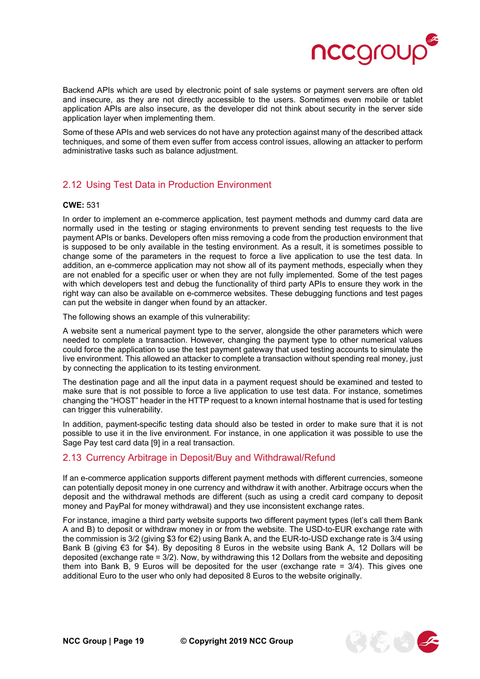

传传

Backend APIs which are used by electronic point of sale systems or payment servers are often old and insecure, as they are not directly accessible to the users. Sometimes even mobile or tablet application APIs are also insecure, as the developer did not think about security in the server side application layer when implementing them.

Some of these APIs and web services do not have any protection against many of the described attack techniques, and some of them even suffer from access control issues, allowing an attacker to perform administrative tasks such as balance adjustment.

# <span id="page-18-0"></span>2.12 Using Test Data in Production Environment

#### **CWE:** 531

In order to implement an e-commerce application, test payment methods and dummy card data are normally used in the testing or staging environments to prevent sending test requests to the live payment APIs or banks. Developers often miss removing a code from the production environment that is supposed to be only available in the testing environment. As a result, it is sometimes possible to change some of the parameters in the request to force a live application to use the test data. In addition, an e-commerce application may not show all of its payment methods, especially when they are not enabled for a specific user or when they are not fully implemented. Some of the test pages with which developers test and debug the functionality of third party APIs to ensure they work in the right way can also be available on e-commerce websites. These debugging functions and test pages can put the website in danger when found by an attacker.

The following shows an example of this vulnerability:

A website sent a numerical payment type to the server, alongside the other parameters which were needed to complete a transaction. However, changing the payment type to other numerical values could force the application to use the test payment gateway that used testing accounts to simulate the live environment. This allowed an attacker to complete a transaction without spending real money, just by connecting the application to its testing environment.

The destination page and all the input data in a payment request should be examined and tested to make sure that is not possible to force a live application to use test data. For instance, sometimes changing the "HOST" header in the HTTP request to a known internal hostname that is used for testing can trigger this vulnerability.

In addition, payment-specific testing data should also be tested in order to make sure that it is not possible to use it in the live environment. For instance, in one application it was possible to use the Sage Pay test card data [9] in a real transaction.

# <span id="page-18-1"></span>2.13 Currency Arbitrage in Deposit/Buy and Withdrawal/Refund

If an e-commerce application supports different payment methods with different currencies, someone can potentially deposit money in one currency and withdraw it with another. Arbitrage occurs when the deposit and the withdrawal methods are different (such as using a credit card company to deposit money and PayPal for money withdrawal) and they use inconsistent exchange rates.

For instance, imagine a third party website supports two different payment types (let's call them Bank A and B) to deposit or withdraw money in or from the website. The USD-to-EUR exchange rate with the commission is 3/2 (giving \$3 for €2) using Bank A, and the EUR-to-USD exchange rate is 3/4 using Bank B (giving €3 for \$4). By depositing 8 Euros in the website using Bank A, 12 Dollars will be deposited (exchange rate = 3/2). Now, by withdrawing this 12 Dollars from the website and depositing them into Bank B, 9 Euros will be deposited for the user (exchange rate = 3/4). This gives one additional Euro to the user who only had deposited 8 Euros to the website originally.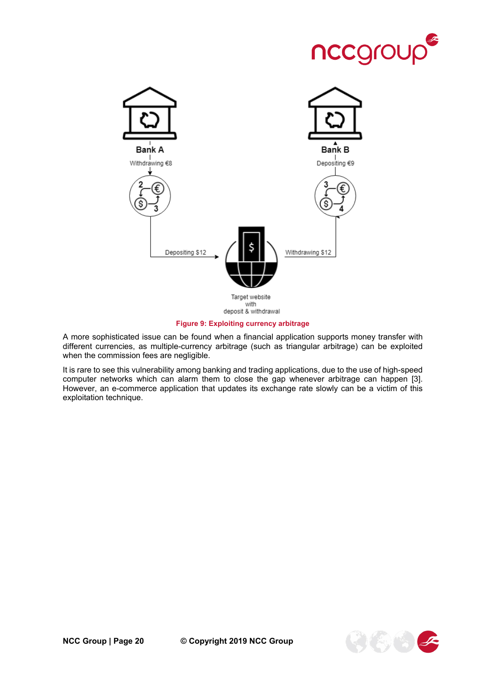



**Figure 9: Exploiting currency arbitrage**

A more sophisticated issue can be found when a financial application supports money transfer with different currencies, as multiple-currency arbitrage (such as triangular arbitrage) can be exploited when the commission fees are negligible.

It is rare to see this vulnerability among banking and trading applications, due to the use of high-speed computer networks which can alarm them to close the gap whenever arbitrage can happen [\[3\]](#page-22-6). However, an e-commerce application that updates its exchange rate slowly can be a victim of this exploitation technique.

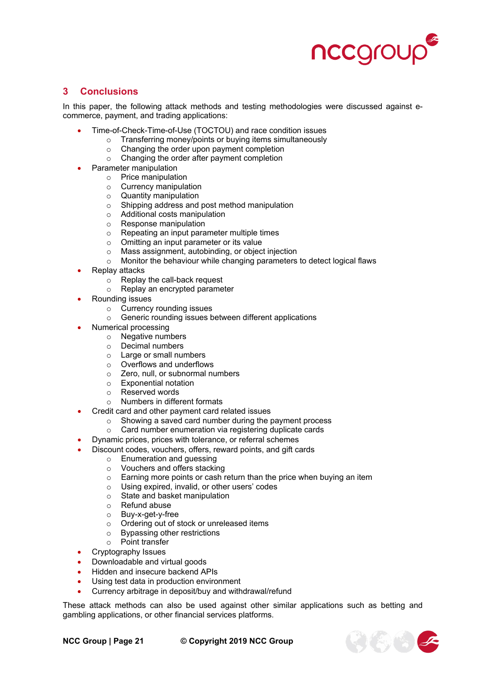

# <span id="page-20-0"></span>**3 Conclusions**

In this paper, the following attack methods and testing methodologies were discussed against ecommerce, payment, and trading applications:

- Time-of-Check-Time-of-Use (TOCTOU) and race condition issues
	- o Transferring money/points or buying items simultaneously
	- $\circ$  Changing the order upon payment completion<br> $\circ$  Changing the order after payment completion
	- Changing the order after payment completion
- Parameter manipulation
	- o Price manipulation
	- o Currency manipulation
	- o Quantity manipulation
	- o Shipping address and post method manipulation
	- o Additional costs manipulation
	- o Response manipulation
	- o Repeating an input parameter multiple times
	- o Omitting an input parameter or its value
	- o Mass assignment, autobinding, or object injection
	- Monitor the behaviour while changing parameters to detect logical flaws
- Replay attacks
	- $\circ$  Replay the call-back request  $\circ$  Replay an encrypted parame
	- Replay an encrypted parameter
- Rounding issues
	- o Currency rounding issues
	- o Generic rounding issues between different applications
- Numerical processing
	- o Negative numbers
	- o Decimal numbers
	- o Large or small numbers
	- o Overflows and underflows
	- o Zero, null, or subnormal numbers
	- o Exponential notation
	- o Reserved words
	- o Numbers in different formats
	- Credit card and other payment card related issues
		- $\circ$  Showing a saved card number during the payment process  $\circ$  Card number enumeration via registering duplicate cards
		- Card number enumeration via registering duplicate cards
- Dynamic prices, prices with tolerance, or referral schemes
	- Discount codes, vouchers, offers, reward points, and gift cards
		- o Enumeration and guessing
		- o Vouchers and offers stacking
		- $\circ$  Earning more points or cash return than the price when buying an item
		- o Using expired, invalid, or other users' codes
		- o State and basket manipulation
		- o Refund abuse
		- o Buy-x-get-y-free
		- o Ordering out of stock or unreleased items
		- $\circ$  Bypassing other restrictions<br>  $\circ$  Point transfer
		- Point transfer
- Cryptography Issues
- Downloadable and virtual goods
- Hidden and insecure backend APIs
- Using test data in production environment
- Currency arbitrage in deposit/buy and withdrawal/refund

These attack methods can also be used against other similar applications such as betting and gambling applications, or other financial services platforms.

**NCC Group | Page 21 © Copyright 2019 NCC Group**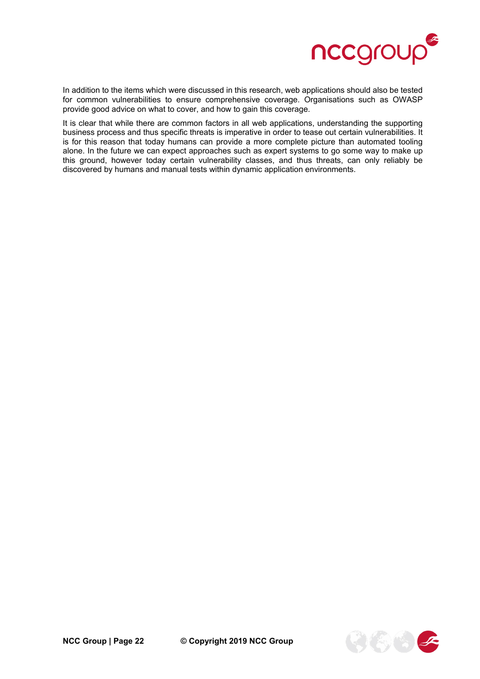

In addition to the items which were discussed in this research, web applications should also be tested for common vulnerabilities to ensure comprehensive coverage. Organisations such as OWASP provide good advice on what to cover, and how to gain this coverage.

It is clear that while there are common factors in all web applications, understanding the supporting business process and thus specific threats is imperative in order to tease out certain vulnerabilities. It is for this reason that today humans can provide a more complete picture than automated tooling alone. In the future we can expect approaches such as expert systems to go some way to make up this ground, however today certain vulnerability classes, and thus threats, can only reliably be discovered by humans and manual tests within dynamic application environments.